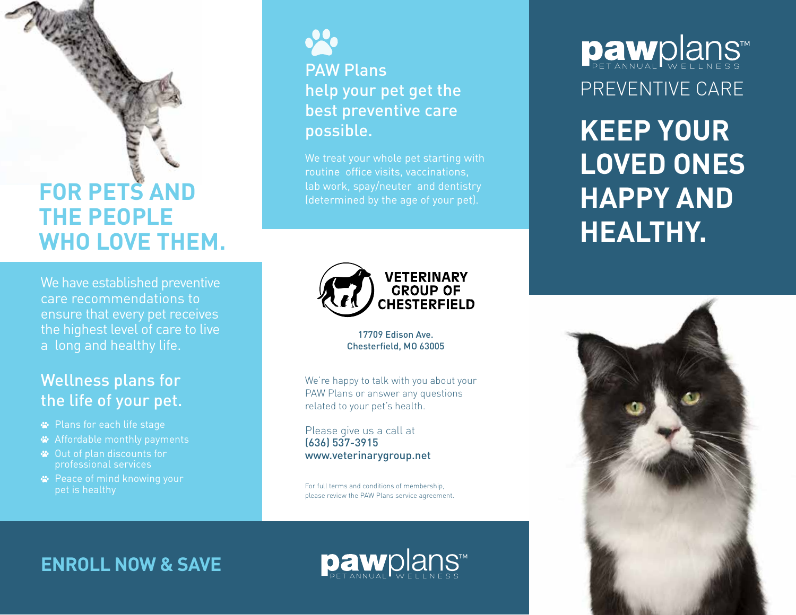# **FOR PETS AND THE PEOPLE WHO LOVE THEM.**

We have established preventive care recommendations to ensure that every pet receives the highest level of care to live a long and healthy life.

#### Wellness plans for the life of your pet.

- Plans for each life stage
- Affordable monthly payments
- Out of plan discounts for professional services
- **<sup>■</sup>** Peace of mind knowing your pet is healthy



PAW Plans help your pet get the best preventive care possible.

We treat your whole pet starting with routine office visits, vaccinations, lab work, spay/neuter and dentistry (determined by the age of your pet).



17709 Edison Ave. Chesterfield, MO 63005

We're happy to talk with you about your PAW Plans or answer any questions related to your pet's health.

Please give us a call at (636) 537-3915 www.veterinarygroup.net

For full terms and conditions of membership, please review the PAW Plans service agreement.

PREVENTIVE CARE **Daw**plans™

**KEEP YOUR LOVED ONES HAPPY AND HEALTHY.**



**ENROLL NOW & SAVE**